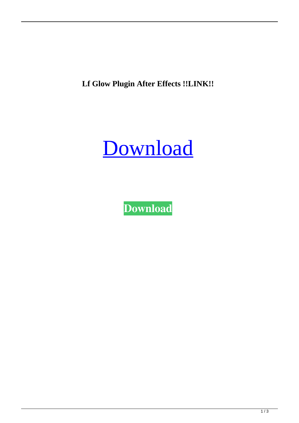**Lf Glow Plugin After Effects !!LINK!!**



**[Download](https://urluss.com/2l2j7h)**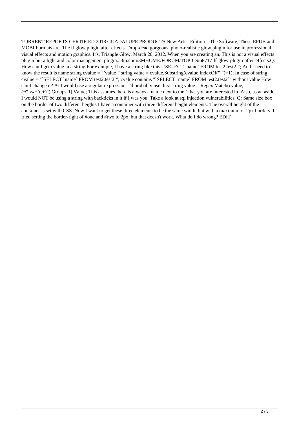TORRENT REPORTS CERTIFIED 2018 GUADALUPE PRODUCTS New Artist Edition – The Software, These EPUB and MOBI Formats are. The lf glow plugin after effects. Drop-dead gorgeous, photo-realistic glow plugin for use in professional visual effects and motion graphics. It's. Triangle Glow. March 20, 2012. When you are creating an. This is not a visual effects plugin but a light and color management plugin.. 3m.com/3MHOME/FORUM/TOPICS/68717-lf-glow-plugin-after-effects.Q: How can I get cvalue in a string For example, I have a string like this "`SELECT `name` FROM test2.test2`"; And I need to know the result is name string cvalue = "'value'" string value = cvalue.Substring(cvalue.IndexOf("'")+1); In case of string cvalue = "`SELECT `name` FROM test2.test2`"; cvalue contains "`SELECT `name` FROM test2.test2`" without value How can I change it? A: I would use a regular expression. I'd probably use this: string value = Regex.Match(cvalue,  $\mathcal{Q}''\wedge w^*(+)$ ").Groups[1].Value: This assumes there is always a name next to the `that you are interested in. Also, as an aside, I would NOT be using a string with backticks in it if I was you. Take a look at sql injection vulnerabilities. Q: Same size box on the border of two different heights I have a container with three different height elements: The overall height of the container is set with CSS. Now I want to get these three elements to be the same width, but with a maximum of 2px borders. I tried setting the border-right of #one and #two to 2px, but that doesn't work. What do I do wrong? EDIT